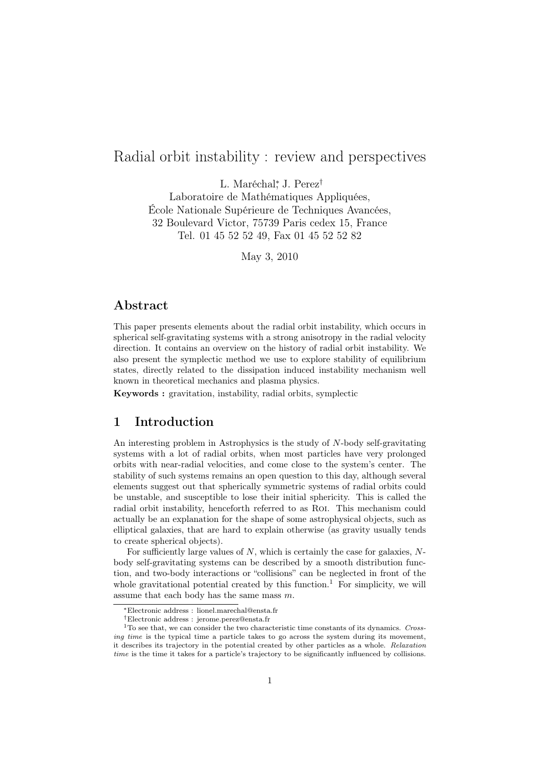# Radial orbit instability : review and perspectives

L. Maréchal<sup>∗</sup>, J. Perez<sup>†</sup>

Laboratoire de Mathématiques Appliquées, École Nationale Supérieure de Techniques Avancées, 32 Boulevard Victor, 75739 Paris cedex 15, France Tel. 01 45 52 52 49, Fax 01 45 52 52 82

May 3, 2010

# Abstract

This paper presents elements about the radial orbit instability, which occurs in spherical self-gravitating systems with a strong anisotropy in the radial velocity direction. It contains an overview on the history of radial orbit instability. We also present the symplectic method we use to explore stability of equilibrium states, directly related to the dissipation induced instability mechanism well known in theoretical mechanics and plasma physics.

Keywords : gravitation, instability, radial orbits, symplectic

# 1 Introduction

An interesting problem in Astrophysics is the study of N-body self-gravitating systems with a lot of radial orbits, when most particles have very prolonged orbits with near-radial velocities, and come close to the system's center. The stability of such systems remains an open question to this day, although several elements suggest out that spherically symmetric systems of radial orbits could be unstable, and susceptible to lose their initial sphericity. This is called the radial orbit instability, henceforth referred to as Roi. This mechanism could actually be an explanation for the shape of some astrophysical objects, such as elliptical galaxies, that are hard to explain otherwise (as gravity usually tends to create spherical objects).

For sufficiently large values of  $N$ , which is certainly the case for galaxies,  $N$ body self-gravitating systems can be described by a smooth distribution function, and two-body interactions or "collisions" can be neglected in front of the whole gravitational potential created by this function.<sup>1</sup> For simplicity, we will assume that each body has the same mass  $m$ .

<sup>∗</sup>Electronic address : lionel.marechal@ensta.fr

<sup>†</sup>Electronic address : jerome.perez@ensta.fr

 $1$ To see that, we can consider the two characteristic time constants of its dynamics. Crossing time is the typical time a particle takes to go across the system during its movement, it describes its trajectory in the potential created by other particles as a whole. Relaxation time is the time it takes for a particle's trajectory to be significantly influenced by collisions.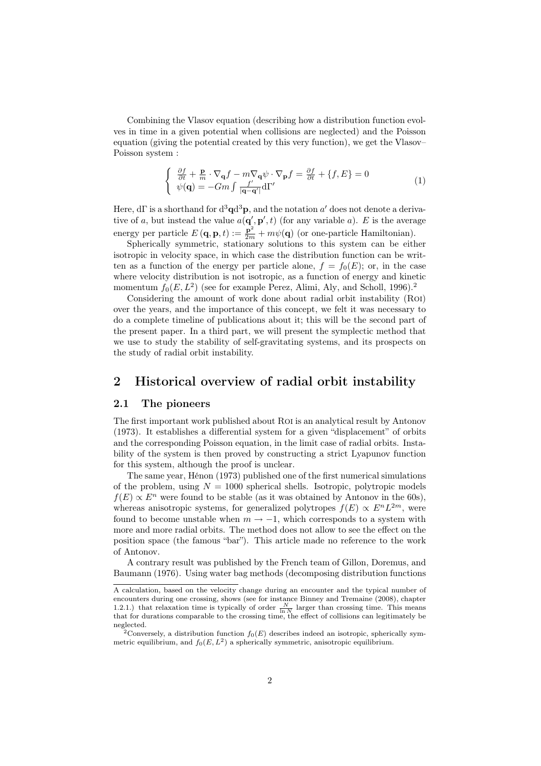Combining the Vlasov equation (describing how a distribution function evolves in time in a given potential when collisions are neglected) and the Poisson equation (giving the potential created by this very function), we get the Vlasov– Poisson system :

$$
\begin{cases} \frac{\partial f}{\partial t} + \frac{\mathbf{p}}{m} \cdot \nabla_{\mathbf{q}} f - m \nabla_{\mathbf{q}} \psi \cdot \nabla_{\mathbf{p}} f = \frac{\partial f}{\partial t} + \{f, E\} = 0\\ \psi(\mathbf{q}) = -Gm \int \frac{f'}{|\mathbf{q} - \mathbf{q}'|} d\Gamma' \end{cases} \tag{1}
$$

Here,  $d\Gamma$  is a shorthand for  $d^3\mathbf{q}d^3\mathbf{p}$ , and the notation  $a'$  does not denote a derivative of a, but instead the value  $a(\mathbf{q}', \mathbf{p}', t)$  (for any variable a). E is the average energy per particle  $E(\mathbf{q}, \mathbf{p}, t) := \frac{\mathbf{p}^2}{2m} + m\psi(\mathbf{q})$  (or one-particle Hamiltonian).

Spherically symmetric, stationary solutions to this system can be either isotropic in velocity space, in which case the distribution function can be written as a function of the energy per particle alone,  $f = f_0(E)$ ; or, in the case where velocity distribution is not isotropic, as a function of energy and kinetic momentum  $f_0(E, L^2)$  (see for example Perez, Alimi, Aly, and Scholl, 1996).<sup>2</sup>

Considering the amount of work done about radial orbit instability (Roi) over the years, and the importance of this concept, we felt it was necessary to do a complete timeline of publications about it; this will be the second part of the present paper. In a third part, we will present the symplectic method that we use to study the stability of self-gravitating systems, and its prospects on the study of radial orbit instability.

### 2 Historical overview of radial orbit instability

### 2.1 The pioneers

The first important work published about Roi is an analytical result by Antonov (1973). It establishes a differential system for a given "displacement" of orbits and the corresponding Poisson equation, in the limit case of radial orbits. Instability of the system is then proved by constructing a strict Lyapunov function for this system, although the proof is unclear.

The same year, Hénon (1973) published one of the first numerical simulations of the problem, using  $N = 1000$  spherical shells. Isotropic, polytropic models  $f(E) \propto E^n$  were found to be stable (as it was obtained by Antonov in the 60s), whereas anisotropic systems, for generalized polytropes  $f(E) \propto E^{n} L^{2m}$ , were found to become unstable when  $m \rightarrow -1$ , which corresponds to a system with more and more radial orbits. The method does not allow to see the effect on the position space (the famous "bar"). This article made no reference to the work of Antonov.

A contrary result was published by the French team of Gillon, Doremus, and Baumann (1976). Using water bag methods (decomposing distribution functions

A calculation, based on the velocity change during an encounter and the typical number of encounters during one crossing, shows (see for instance Binney and Tremaine (2008), chapter 1.2.1.) that relaxation time is typically of order  $\frac{N}{\ln N}$  larger than crossing time. This means that for durations comparable to the crossing time, the effect of collisions can legitimately be neglected.

<sup>&</sup>lt;sup>2</sup>Conversely, a distribution function  $f_0(E)$  describes indeed an isotropic, spherically symmetric equilibrium, and  $f_0(E, L^2)$  a spherically symmetric, anisotropic equilibrium.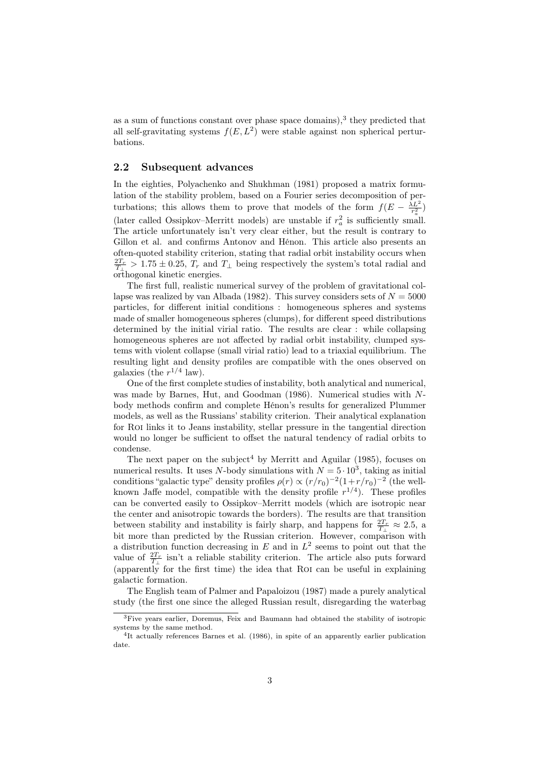as a sum of functions constant over phase space domains),<sup>3</sup> they predicted that all self-gravitating systems  $f(E, L^2)$  were stable against non spherical perturbations.

### 2.2 Subsequent advances

In the eighties, Polyachenko and Shukhman (1981) proposed a matrix formulation of the stability problem, based on a Fourier series decomposition of perturbations; this allows them to prove that models of the form  $f(E - \frac{\lambda L^2}{r_o^2})$ (later called Ossipkov–Merritt models) are unstable if  $r_a^2$  is sufficiently small. The article unfortunately isn't very clear either, but the result is contrary to Gillon et al. and confirms Antonov and Hénon. This article also presents an often-quoted stability criterion, stating that radial orbit instability occurs when  $\frac{2T_r}{T_\perp} > 1.75 \pm 0.25$ ,  $T_r$  and  $T_\perp$  being respectively the system's total radial and orthogonal kinetic energies.

The first full, realistic numerical survey of the problem of gravitational collapse was realized by van Albada (1982). This survey considers sets of  $N = 5000$ particles, for different initial conditions : homogeneous spheres and systems made of smaller homogeneous spheres (clumps), for different speed distributions determined by the initial virial ratio. The results are clear : while collapsing homogeneous spheres are not affected by radial orbit instability, clumped systems with violent collapse (small virial ratio) lead to a triaxial equilibrium. The resulting light and density profiles are compatible with the ones observed on galaxies (the  $r^{1/4}$  law).

One of the first complete studies of instability, both analytical and numerical, was made by Barnes, Hut, and Goodman (1986). Numerical studies with Nbody methods confirm and complete Hénon's results for generalized Plummer models, as well as the Russians' stability criterion. Their analytical explanation for ROI links it to Jeans instability, stellar pressure in the tangential direction would no longer be sufficient to offset the natural tendency of radial orbits to condense.

The next paper on the subject<sup>4</sup> by Merritt and Aguilar  $(1985)$ , focuses on numerical results. It uses N-body simulations with  $N = 5 \cdot 10^3$ , taking as initial conditions "galactic type" density profiles  $\rho(r) \propto (r/r_0)^{-2} (1 + r/r_0)^{-2}$  (the wellknown Jaffe model, compatible with the density profile  $r^{1/4}$ ). These profiles can be converted easily to Ossipkov–Merritt models (which are isotropic near the center and anisotropic towards the borders). The results are that transition between stability and instability is fairly sharp, and happens for  $\frac{2T_r}{T_\perp} \approx 2.5$ , a bit more than predicted by the Russian criterion. However, comparison with a distribution function decreasing in  $E$  and in  $L^2$  seems to point out that the value of  $\frac{2T_r}{T_\perp}$  isn't a reliable stability criterion. The article also puts forward  $\alpha$  (apparently for the first time) the idea that ROI can be useful in explaining galactic formation.

The English team of Palmer and Papaloizou (1987) made a purely analytical study (the first one since the alleged Russian result, disregarding the waterbag

<sup>&</sup>lt;sup>3</sup>Five years earlier, Doremus, Feix and Baumann had obtained the stability of isotropic systems by the same method.

<sup>&</sup>lt;sup>4</sup>It actually references Barnes et al. (1986), in spite of an apparently earlier publication date.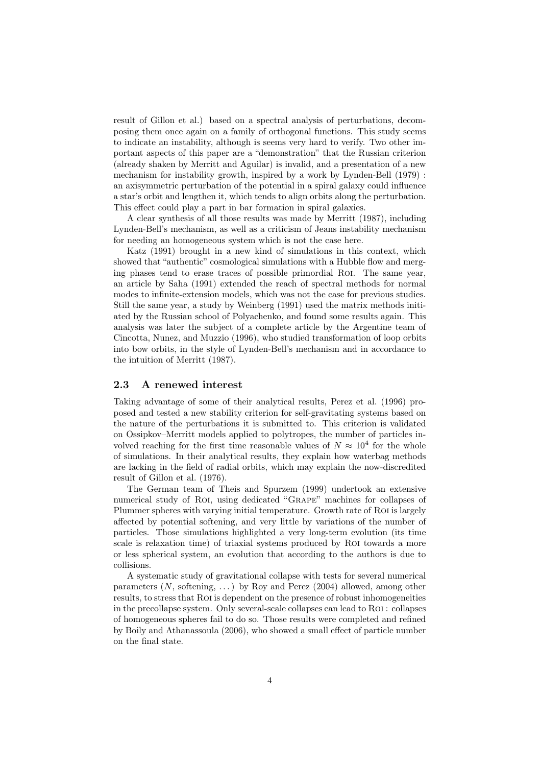result of Gillon et al.) based on a spectral analysis of perturbations, decomposing them once again on a family of orthogonal functions. This study seems to indicate an instability, although is seems very hard to verify. Two other important aspects of this paper are a "demonstration" that the Russian criterion (already shaken by Merritt and Aguilar) is invalid, and a presentation of a new mechanism for instability growth, inspired by a work by Lynden-Bell (1979) : an axisymmetric perturbation of the potential in a spiral galaxy could influence a star's orbit and lengthen it, which tends to align orbits along the perturbation. This effect could play a part in bar formation in spiral galaxies.

A clear synthesis of all those results was made by Merritt (1987), including Lynden-Bell's mechanism, as well as a criticism of Jeans instability mechanism for needing an homogeneous system which is not the case here.

Katz (1991) brought in a new kind of simulations in this context, which showed that "authentic" cosmological simulations with a Hubble flow and merging phases tend to erase traces of possible primordial Roi. The same year, an article by Saha (1991) extended the reach of spectral methods for normal modes to infinite-extension models, which was not the case for previous studies. Still the same year, a study by Weinberg (1991) used the matrix methods initiated by the Russian school of Polyachenko, and found some results again. This analysis was later the subject of a complete article by the Argentine team of Cincotta, Nunez, and Muzzio (1996), who studied transformation of loop orbits into bow orbits, in the style of Lynden-Bell's mechanism and in accordance to the intuition of Merritt (1987).

#### 2.3 A renewed interest

Taking advantage of some of their analytical results, Perez et al. (1996) proposed and tested a new stability criterion for self-gravitating systems based on the nature of the perturbations it is submitted to. This criterion is validated on Ossipkov–Merritt models applied to polytropes, the number of particles involved reaching for the first time reasonable values of  $N \approx 10^4$  for the whole of simulations. In their analytical results, they explain how waterbag methods are lacking in the field of radial orbits, which may explain the now-discredited result of Gillon et al. (1976).

The German team of Theis and Spurzem (1999) undertook an extensive numerical study of Roi, using dedicated "Grape" machines for collapses of Plummer spheres with varying initial temperature. Growth rate of Roi is largely affected by potential softening, and very little by variations of the number of particles. Those simulations highlighted a very long-term evolution (its time scale is relaxation time) of triaxial systems produced by Roi towards a more or less spherical system, an evolution that according to the authors is due to collisions.

A systematic study of gravitational collapse with tests for several numerical parameters  $(N, \text{ softening}, ...)$  by Roy and Perez  $(2004)$  allowed, among other results, to stress that Roi is dependent on the presence of robust inhomogeneities in the precollapse system. Only several-scale collapses can lead to Roi : collapses of homogeneous spheres fail to do so. Those results were completed and refined by Boily and Athanassoula (2006), who showed a small effect of particle number on the final state.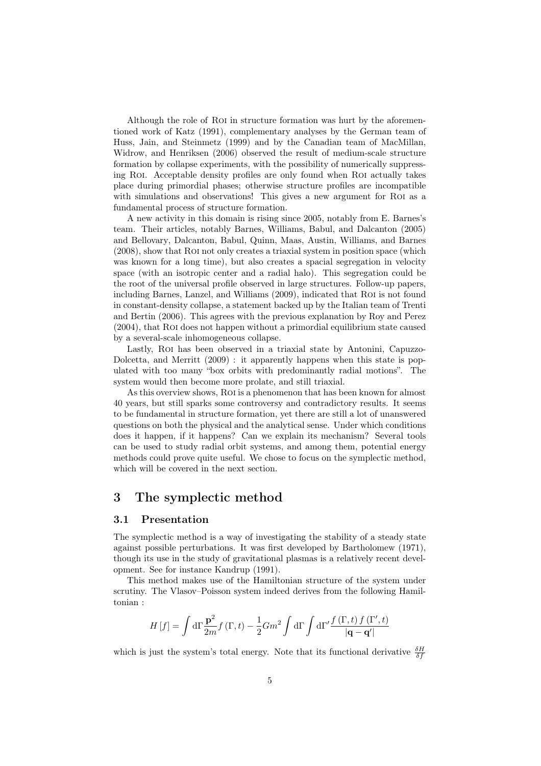Although the role of Roi in structure formation was hurt by the aforementioned work of Katz (1991), complementary analyses by the German team of Huss, Jain, and Steinmetz (1999) and by the Canadian team of MacMillan, Widrow, and Henriksen (2006) observed the result of medium-scale structure formation by collapse experiments, with the possibility of numerically suppressing Roi. Acceptable density profiles are only found when Roi actually takes place during primordial phases; otherwise structure profiles are incompatible with simulations and observations! This gives a new argument for ROI as a fundamental process of structure formation.

A new activity in this domain is rising since 2005, notably from E. Barnes's team. Their articles, notably Barnes, Williams, Babul, and Dalcanton (2005) and Bellovary, Dalcanton, Babul, Quinn, Maas, Austin, Williams, and Barnes (2008), show that Roi not only creates a triaxial system in position space (which was known for a long time), but also creates a spacial segregation in velocity space (with an isotropic center and a radial halo). This segregation could be the root of the universal profile observed in large structures. Follow-up papers, including Barnes, Lanzel, and Williams (2009), indicated that ROI is not found in constant-density collapse, a statement backed up by the Italian team of Trenti and Bertin (2006). This agrees with the previous explanation by Roy and Perez (2004), that Roi does not happen without a primordial equilibrium state caused by a several-scale inhomogeneous collapse.

Lastly, Roi has been observed in a triaxial state by Antonini, Capuzzo-Dolcetta, and Merritt (2009) : it apparently happens when this state is populated with too many "box orbits with predominantly radial motions". The system would then become more prolate, and still triaxial.

As this overview shows, Roi is a phenomenon that has been known for almost 40 years, but still sparks some controversy and contradictory results. It seems to be fundamental in structure formation, yet there are still a lot of unanswered questions on both the physical and the analytical sense. Under which conditions does it happen, if it happens? Can we explain its mechanism? Several tools can be used to study radial orbit systems, and among them, potential energy methods could prove quite useful. We chose to focus on the symplectic method, which will be covered in the next section.

# 3 The symplectic method

#### 3.1 Presentation

The symplectic method is a way of investigating the stability of a steady state against possible perturbations. It was first developed by Bartholomew (1971), though its use in the study of gravitational plasmas is a relatively recent development. See for instance Kandrup (1991).

This method makes use of the Hamiltonian structure of the system under scrutiny. The Vlasov–Poisson system indeed derives from the following Hamiltonian :

$$
H\left[f\right] = \int d\Gamma \frac{\mathbf{p}^2}{2m} f\left(\Gamma, t\right) - \frac{1}{2} G m^2 \int d\Gamma \int d\Gamma' \frac{f\left(\Gamma, t\right) f\left(\Gamma', t\right)}{\left|\mathbf{q} - \mathbf{q}'\right|}
$$

which is just the system's total energy. Note that its functional derivative  $\frac{\delta H}{\delta f}$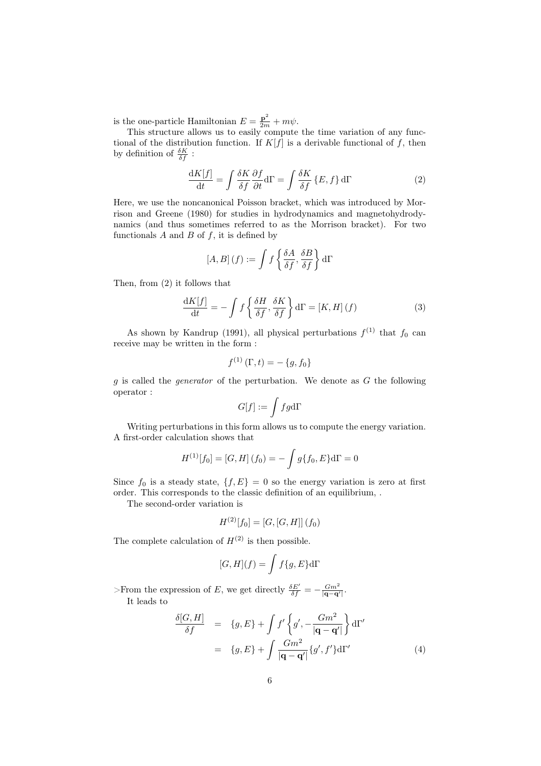is the one-particle Hamiltonian  $E = \frac{\mathbf{p}^2}{2m} + m\psi$ .

This structure allows us to easily compute the time variation of any functional of the distribution function. If  $K[f]$  is a derivable functional of f, then by definition of  $\frac{\delta K}{\delta f}$ :

$$
\frac{\mathrm{d}K[f]}{\mathrm{d}t} = \int \frac{\delta K}{\delta f} \frac{\partial f}{\partial t} \mathrm{d}\Gamma = \int \frac{\delta K}{\delta f} \{E, f\} \mathrm{d}\Gamma \tag{2}
$$

Here, we use the noncanonical Poisson bracket, which was introduced by Morrison and Greene (1980) for studies in hydrodynamics and magnetohydrodynamics (and thus sometimes referred to as the Morrison bracket). For two functionals  $A$  and  $B$  of  $f$ , it is defined by

$$
[A, B] (f) := \int f \left\{ \frac{\delta A}{\delta f}, \frac{\delta B}{\delta f} \right\} d\Gamma
$$

Then, from (2) it follows that

$$
\frac{\mathrm{d}K[f]}{\mathrm{d}t} = -\int f\left\{\frac{\delta H}{\delta f}, \frac{\delta K}{\delta f}\right\} \mathrm{d}\Gamma = [K, H](f) \tag{3}
$$

As shown by Kandrup (1991), all physical perturbations  $f^{(1)}$  that  $f_0$  can receive may be written in the form :

$$
f^{(1)}(\Gamma, t) = -\{g, f_0\}
$$

 $g$  is called the *generator* of the perturbation. We denote as  $G$  the following operator :

$$
G[f]:=\int fg\mathrm{d}\Gamma
$$

Writing perturbations in this form allows us to compute the energy variation. A first-order calculation shows that

$$
H^{(1)}[f_0] = [G, H](f_0) = -\int g\{f_0, E\}d\Gamma = 0
$$

Since  $f_0$  is a steady state,  $\{f, E\} = 0$  so the energy variation is zero at first order. This corresponds to the classic definition of an equilibrium, .

The second-order variation is

$$
H^{(2)}[f_0] = [G, [G, H]] (f_0)
$$

The complete calculation of  $H^{(2)}$  is then possible.

$$
[G,H](f) = \int f\{g,E\} \mathrm{d}\Gamma
$$

>From the expression of E, we get directly  $\frac{\delta E'}{\delta f} = -\frac{Gm^2}{|\mathbf{q}-\mathbf{q}'|}$ . It leads to

$$
\frac{\delta[G,H]}{\delta f} = \{g, E\} + \int f' \left\{ g', -\frac{Gm^2}{|\mathbf{q} - \mathbf{q}'|} \right\} d\Gamma'
$$

$$
= \{g, E\} + \int \frac{Gm^2}{|\mathbf{q} - \mathbf{q}'|} \{g', f'\} d\Gamma'
$$
(4)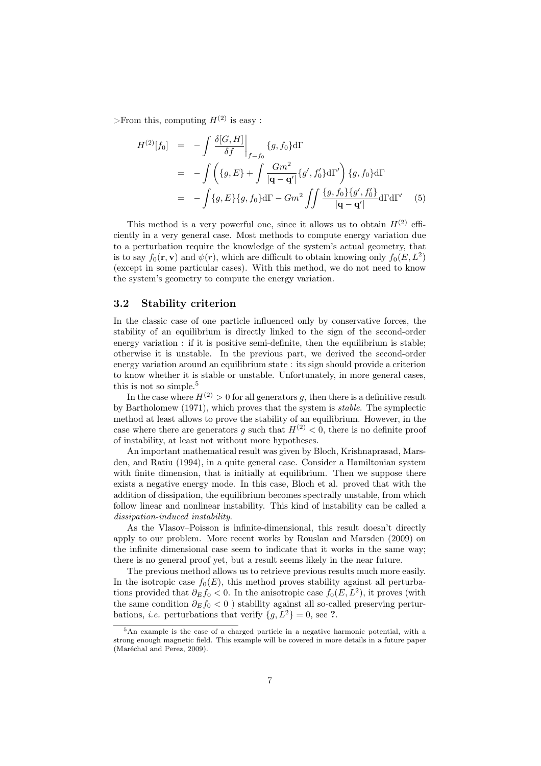>From this, computing  $H^{(2)}$  is easy :

$$
H^{(2)}[f_0] = -\int \frac{\delta[G, H]}{\delta f} \Big|_{f=f_0} \{g, f_0\} d\Gamma
$$
  
= 
$$
-\int \left( \{g, E\} + \int \frac{Gm^2}{|\mathbf{q} - \mathbf{q}'|} \{g', f'_0\} d\Gamma' \right) \{g, f_0\} d\Gamma
$$
  
= 
$$
-\int \{g, E\} \{g, f_0\} d\Gamma - Gm^2 \iint \frac{\{g, f_0\} \{g', f'_0\}}{|\mathbf{q} - \mathbf{q}'|} d\Gamma d\Gamma' \quad (5)
$$

This method is a very powerful one, since it allows us to obtain  $H^{(2)}$  efficiently in a very general case. Most methods to compute energy variation due to a perturbation require the knowledge of the system's actual geometry, that is to say  $f_0(\mathbf{r}, \mathbf{v})$  and  $\psi(r)$ , which are difficult to obtain knowing only  $f_0(E, L^2)$ (except in some particular cases). With this method, we do not need to know the system's geometry to compute the energy variation.

### 3.2 Stability criterion

In the classic case of one particle influenced only by conservative forces, the stability of an equilibrium is directly linked to the sign of the second-order energy variation : if it is positive semi-definite, then the equilibrium is stable; otherwise it is unstable. In the previous part, we derived the second-order energy variation around an equilibrium state : its sign should provide a criterion to know whether it is stable or unstable. Unfortunately, in more general cases, this is not so simple.<sup>5</sup>

In the case where  $H^{(2)} > 0$  for all generators q, then there is a definitive result by Bartholomew (1971), which proves that the system is stable. The symplectic method at least allows to prove the stability of an equilibrium. However, in the case where there are generators q such that  $H^{(2)} < 0$ , there is no definite proof of instability, at least not without more hypotheses.

An important mathematical result was given by Bloch, Krishnaprasad, Marsden, and Ratiu (1994), in a quite general case. Consider a Hamiltonian system with finite dimension, that is initially at equilibrium. Then we suppose there exists a negative energy mode. In this case, Bloch et al. proved that with the addition of dissipation, the equilibrium becomes spectrally unstable, from which follow linear and nonlinear instability. This kind of instability can be called a dissipation-induced instability.

As the Vlasov–Poisson is infinite-dimensional, this result doesn't directly apply to our problem. More recent works by Rouslan and Marsden (2009) on the infinite dimensional case seem to indicate that it works in the same way; there is no general proof yet, but a result seems likely in the near future.

The previous method allows us to retrieve previous results much more easily. In the isotropic case  $f_0(E)$ , this method proves stability against all perturbations provided that  $\partial_E f_0 < 0$ . In the anisotropic case  $f_0(E, L^2)$ , it proves (with the same condition  $\partial_E f_0 < 0$ ) stability against all so-called preserving perturbations, *i.e.* perturbations that verify  $\{q, L^2\} = 0$ , see ?.

<sup>5</sup>An example is the case of a charged particle in a negative harmonic potential, with a strong enough magnetic field. This example will be covered in more details in a future paper (Maréchal and Perez, 2009).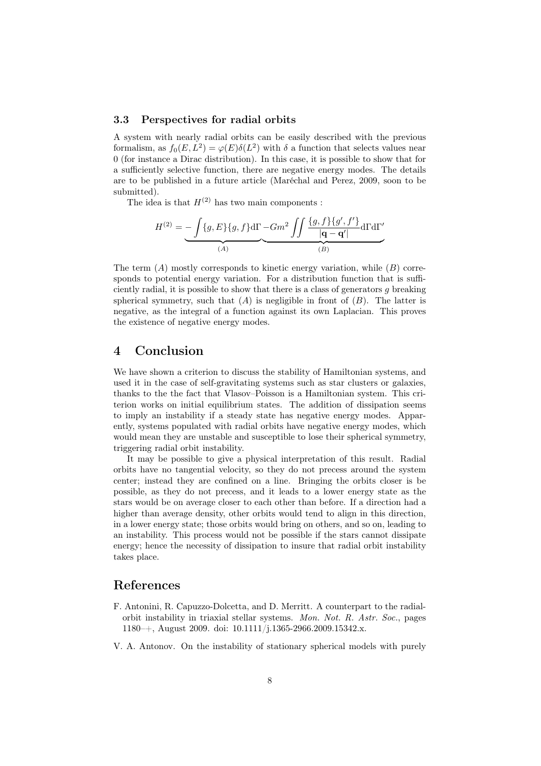#### 3.3 Perspectives for radial orbits

A system with nearly radial orbits can be easily described with the previous formalism, as  $f_0(E, L^2) = \varphi(E) \delta(L^2)$  with  $\delta$  a function that selects values near 0 (for instance a Dirac distribution). In this case, it is possible to show that for a sufficiently selective function, there are negative energy modes. The details are to be published in a future article (Maréchal and Perez, 2009, soon to be submitted).

The idea is that  $H^{(2)}$  has two main components :

$$
H^{(2)} = \underbrace{-\int \{g, E\} \{g, f\} d\Gamma}_{(A)} \underbrace{-Gm^2 \iint \frac{\{g, f\} \{g', f'\}}{|\mathbf{q} - \mathbf{q}'|} d\Gamma d\Gamma'}_{(B)}
$$

The term  $(A)$  mostly corresponds to kinetic energy variation, while  $(B)$  corresponds to potential energy variation. For a distribution function that is sufficiently radial, it is possible to show that there is a class of generators  $q$  breaking spherical symmetry, such that  $(A)$  is negligible in front of  $(B)$ . The latter is negative, as the integral of a function against its own Laplacian. This proves the existence of negative energy modes.

### 4 Conclusion

We have shown a criterion to discuss the stability of Hamiltonian systems, and used it in the case of self-gravitating systems such as star clusters or galaxies, thanks to the the fact that Vlasov–Poisson is a Hamiltonian system. This criterion works on initial equilibrium states. The addition of dissipation seems to imply an instability if a steady state has negative energy modes. Apparently, systems populated with radial orbits have negative energy modes, which would mean they are unstable and susceptible to lose their spherical symmetry, triggering radial orbit instability.

It may be possible to give a physical interpretation of this result. Radial orbits have no tangential velocity, so they do not precess around the system center; instead they are confined on a line. Bringing the orbits closer is be possible, as they do not precess, and it leads to a lower energy state as the stars would be on average closer to each other than before. If a direction had a higher than average density, other orbits would tend to align in this direction, in a lower energy state; those orbits would bring on others, and so on, leading to an instability. This process would not be possible if the stars cannot dissipate energy; hence the necessity of dissipation to insure that radial orbit instability takes place.

### References

- F. Antonini, R. Capuzzo-Dolcetta, and D. Merritt. A counterpart to the radialorbit instability in triaxial stellar systems. Mon. Not. R. Astr. Soc., pages 1180–+, August 2009. doi: 10.1111/j.1365-2966.2009.15342.x.
- V. A. Antonov. On the instability of stationary spherical models with purely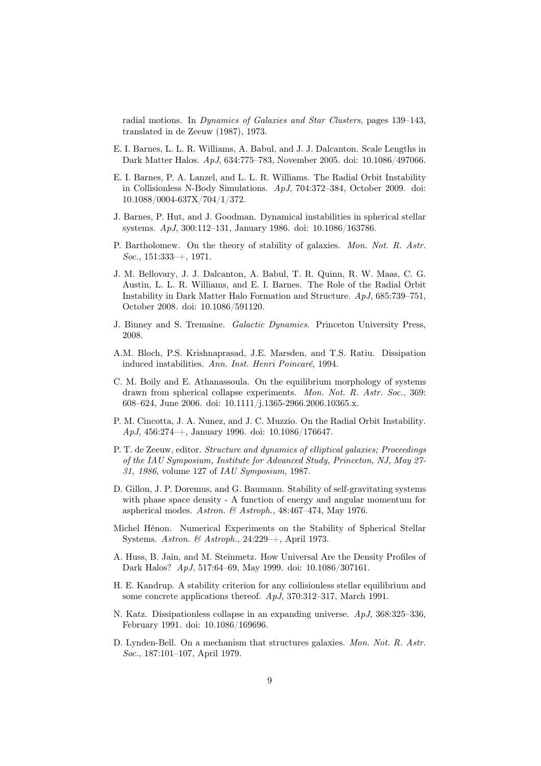radial motions. In Dynamics of Galaxies and Star Clusters, pages 139–143, translated in de Zeeuw (1987), 1973.

- E. I. Barnes, L. L. R. Williams, A. Babul, and J. J. Dalcanton. Scale Lengths in Dark Matter Halos. ApJ, 634:775–783, November 2005. doi: 10.1086/497066.
- E. I. Barnes, P. A. Lanzel, and L. L. R. Williams. The Radial Orbit Instability in Collisionless N-Body Simulations. ApJ, 704:372–384, October 2009. doi: 10.1088/0004-637X/704/1/372.
- J. Barnes, P. Hut, and J. Goodman. Dynamical instabilities in spherical stellar systems. ApJ, 300:112–131, January 1986. doi: 10.1086/163786.
- P. Bartholomew. On the theory of stability of galaxies. Mon. Not. R. Astr. Soc., 151:333–+, 1971.
- J. M. Bellovary, J. J. Dalcanton, A. Babul, T. R. Quinn, R. W. Maas, C. G. Austin, L. L. R. Williams, and E. I. Barnes. The Role of the Radial Orbit Instability in Dark Matter Halo Formation and Structure. ApJ, 685:739–751, October 2008. doi: 10.1086/591120.
- J. Binney and S. Tremaine. Galactic Dynamics. Princeton University Press, 2008.
- A.M. Bloch, P.S. Krishnaprasad, J.E. Marsden, and T.S. Ratiu. Dissipation induced instabilities. Ann. Inst. Henri Poincaré, 1994.
- C. M. Boily and E. Athanassoula. On the equilibrium morphology of systems drawn from spherical collapse experiments. Mon. Not. R. Astr. Soc., 369: 608–624, June 2006. doi: 10.1111/j.1365-2966.2006.10365.x.
- P. M. Cincotta, J. A. Nunez, and J. C. Muzzio. On the Radial Orbit Instability. ApJ, 456:274–+, January 1996. doi: 10.1086/176647.
- P. T. de Zeeuw, editor. Structure and dynamics of elliptical galaxies; Proceedings of the IAU Symposium, Institute for Advanced Study, Princeton, NJ, May 27- 31, 1986, volume 127 of IAU Symposium, 1987.
- D. Gillon, J. P. Doremus, and G. Baumann. Stability of self-gravitating systems with phase space density - A function of energy and angular momentum for aspherical modes. Astron. & Astroph., 48:467–474, May 1976.
- Michel Hénon. Numerical Experiments on the Stability of Spherical Stellar Systems. Astron. & Astroph., 24:229–+, April 1973.
- A. Huss, B. Jain, and M. Steinmetz. How Universal Are the Density Profiles of Dark Halos? ApJ, 517:64–69, May 1999. doi: 10.1086/307161.
- H. E. Kandrup. A stability criterion for any collisionless stellar equilibrium and some concrete applications thereof. ApJ, 370:312–317, March 1991.
- N. Katz. Dissipationless collapse in an expanding universe. ApJ, 368:325–336, February 1991. doi: 10.1086/169696.
- D. Lynden-Bell. On a mechanism that structures galaxies. Mon. Not. R. Astr. Soc., 187:101–107, April 1979.